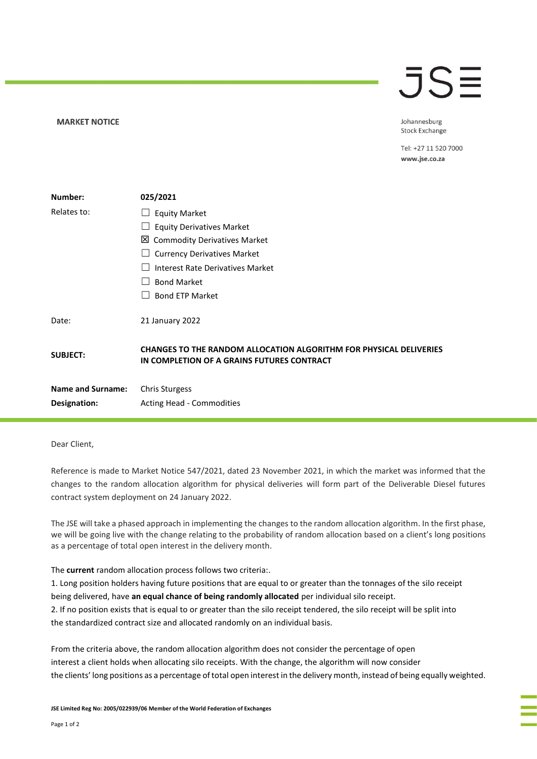## **MARKET NOTICE**

## $\overline{\mathsf{J}}\mathsf{S}\overline{\mathsf{H}}$

Johannesburg **Stock Exchange** 

Tel: +27 11 520 7000 www.jse.co.za

| Number:                  | 025/2021                                                                                                         |
|--------------------------|------------------------------------------------------------------------------------------------------------------|
| Relates to:              | <b>Equity Market</b>                                                                                             |
|                          | <b>Equity Derivatives Market</b>                                                                                 |
|                          | <b>⊠</b> Commodity Derivatives Market                                                                            |
|                          | <b>Currency Derivatives Market</b>                                                                               |
|                          | Interest Rate Derivatives Market                                                                                 |
|                          | <b>Bond Market</b>                                                                                               |
|                          | <b>Bond ETP Market</b>                                                                                           |
| Date:                    | 21 January 2022                                                                                                  |
| <b>SUBJECT:</b>          | CHANGES TO THE RANDOM ALLOCATION ALGORITHM FOR PHYSICAL DELIVERIES<br>IN COMPLETION OF A GRAINS FUTURES CONTRACT |
| <b>Name and Surname:</b> | <b>Chris Sturgess</b>                                                                                            |
| Designation:             | Acting Head - Commodities                                                                                        |

## Dear Client,

Reference is made to Market Notice 547/2021, dated 23 November 2021, in which the market was informed that the changes to the random allocation algorithm for physical deliveries will form part of the Deliverable Diesel futures contract system deployment on 24 January 2022.

The JSE will take a phased approach in implementing the changes to the random allocation algorithm. In the first phase, we will be going live with the change relating to the probability of random allocation based on a client's long positions as a percentage of total open interest in the delivery month.

The **current** random allocation process follows two criteria:.

1. Long position holders having future positions that are equal to or greater than the tonnages of the silo receipt being delivered, have **an equal chance of being randomly allocated** per individual silo receipt. 2. If no position exists that is equal to or greater than the silo receipt tendered, the silo receipt will be split into the standardized contract size and allocated randomly on an individual basis.

From the criteria above, the random allocation algorithm does not consider the percentage of open interest a client holds when allocating silo receipts. With the change, the algorithm will now consider the clients' long positions as a percentage of total open interest in the delivery month, instead of being equally weighted.